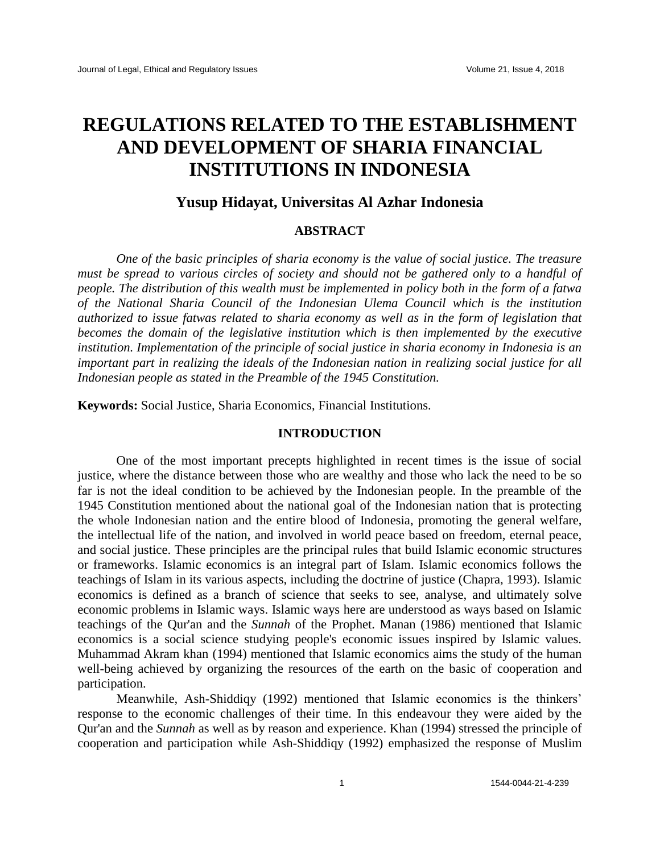# **REGULATIONS RELATED TO THE ESTABLISHMENT AND DEVELOPMENT OF SHARIA FINANCIAL INSTITUTIONS IN INDONESIA**

## **Yusup Hidayat, Universitas Al Azhar Indonesia**

## **ABSTRACT**

*One of the basic principles of sharia economy is the value of social justice. The treasure must be spread to various circles of society and should not be gathered only to a handful of people. The distribution of this wealth must be implemented in policy both in the form of a fatwa of the National Sharia Council of the Indonesian Ulema Council which is the institution authorized to issue fatwas related to sharia economy as well as in the form of legislation that becomes the domain of the legislative institution which is then implemented by the executive institution. Implementation of the principle of social justice in sharia economy in Indonesia is an important part in realizing the ideals of the Indonesian nation in realizing social justice for all Indonesian people as stated in the Preamble of the 1945 Constitution.*

**Keywords:** Social Justice, Sharia Economics, Financial Institutions*.*

## **INTRODUCTION**

One of the most important precepts highlighted in recent times is the issue of social justice, where the distance between those who are wealthy and those who lack the need to be so far is not the ideal condition to be achieved by the Indonesian people. In the preamble of the 1945 Constitution mentioned about the national goal of the Indonesian nation that is protecting the whole Indonesian nation and the entire blood of Indonesia, promoting the general welfare, the intellectual life of the nation, and involved in world peace based on freedom, eternal peace, and social justice. These principles are the principal rules that build Islamic economic structures or frameworks. Islamic economics is an integral part of Islam. Islamic economics follows the teachings of Islam in its various aspects, including the doctrine of justice (Chapra, 1993). Islamic economics is defined as a branch of science that seeks to see, analyse, and ultimately solve economic problems in Islamic ways. Islamic ways here are understood as ways based on Islamic teachings of the Qur'an and the *Sunnah* of the Prophet. Manan (1986) mentioned that Islamic economics is a social science studying people's economic issues inspired by Islamic values. Muhammad Akram khan (1994) mentioned that Islamic economics aims the study of the human well-being achieved by organizing the resources of the earth on the basic of cooperation and participation.

Meanwhile, Ash-Shiddiqy (1992) mentioned that Islamic economics is the thinkers' response to the economic challenges of their time. In this endeavour they were aided by the Qur'an and the *Sunnah* as well as by reason and experience. Khan (1994) stressed the principle of cooperation and participation while Ash-Shiddiqy (1992) emphasized the response of Muslim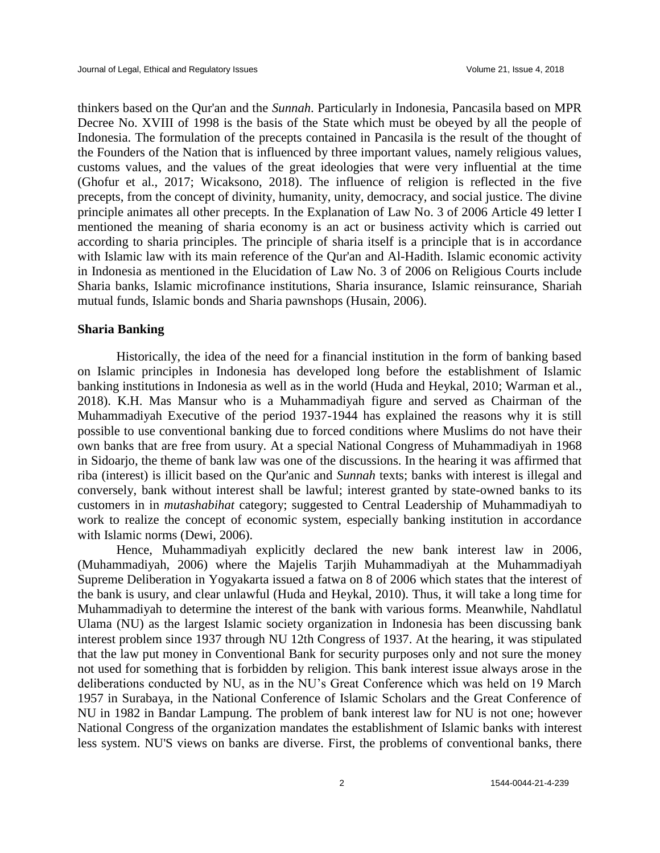thinkers based on the Qur'an and the *Sunnah*. Particularly in Indonesia, Pancasila based on MPR Decree No. XVIII of 1998 is the basis of the State which must be obeyed by all the people of Indonesia. The formulation of the precepts contained in Pancasila is the result of the thought of the Founders of the Nation that is influenced by three important values, namely religious values, customs values, and the values of the great ideologies that were very influential at the time (Ghofur et al., 2017; Wicaksono, 2018). The influence of religion is reflected in the five precepts, from the concept of divinity, humanity, unity, democracy, and social justice. The divine principle animates all other precepts. In the Explanation of Law No. 3 of 2006 Article 49 letter I mentioned the meaning of sharia economy is an act or business activity which is carried out according to sharia principles. The principle of sharia itself is a principle that is in accordance with Islamic law with its main reference of the Qur'an and Al-Hadith. Islamic economic activity in Indonesia as mentioned in the Elucidation of Law No. 3 of 2006 on Religious Courts include Sharia banks, Islamic microfinance institutions, Sharia insurance, Islamic reinsurance, Shariah mutual funds, Islamic bonds and Sharia pawnshops (Husain, 2006).

#### **Sharia Banking**

Historically, the idea of the need for a financial institution in the form of banking based on Islamic principles in Indonesia has developed long before the establishment of Islamic banking institutions in Indonesia as well as in the world (Huda and Heykal, 2010; Warman et al., 2018). K.H. Mas Mansur who is a Muhammadiyah figure and served as Chairman of the Muhammadiyah Executive of the period 1937-1944 has explained the reasons why it is still possible to use conventional banking due to forced conditions where Muslims do not have their own banks that are free from usury. At a special National Congress of Muhammadiyah in 1968 in Sidoarjo, the theme of bank law was one of the discussions. In the hearing it was affirmed that riba (interest) is illicit based on the Qur'anic and *Sunnah* texts; banks with interest is illegal and conversely, bank without interest shall be lawful; interest granted by state-owned banks to its customers in in *mutashabihat* category; suggested to Central Leadership of Muhammadiyah to work to realize the concept of economic system, especially banking institution in accordance with Islamic norms (Dewi, 2006).

Hence, Muhammadiyah explicitly declared the new bank interest law in 2006, (Muhammadiyah, 2006) where the Majelis Tarjih Muhammadiyah at the Muhammadiyah Supreme Deliberation in Yogyakarta issued a fatwa on 8 of 2006 which states that the interest of the bank is usury, and clear unlawful (Huda and Heykal, 2010). Thus, it will take a long time for Muhammadiyah to determine the interest of the bank with various forms. Meanwhile, Nahdlatul Ulama (NU) as the largest Islamic society organization in Indonesia has been discussing bank interest problem since 1937 through NU 12th Congress of 1937. At the hearing, it was stipulated that the law put money in Conventional Bank for security purposes only and not sure the money not used for something that is forbidden by religion. This bank interest issue always arose in the deliberations conducted by NU, as in the NU's Great Conference which was held on 19 March 1957 in Surabaya, in the National Conference of Islamic Scholars and the Great Conference of NU in 1982 in Bandar Lampung. The problem of bank interest law for NU is not one; however National Congress of the organization mandates the establishment of Islamic banks with interest less system. NU'S views on banks are diverse. First, the problems of conventional banks, there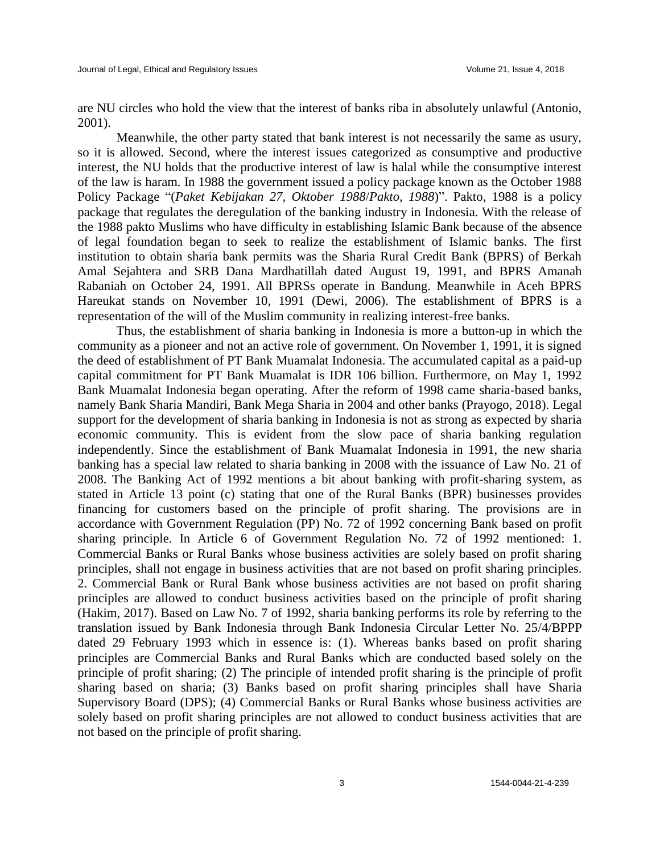are NU circles who hold the view that the interest of banks riba in absolutely unlawful (Antonio, 2001).

Meanwhile, the other party stated that bank interest is not necessarily the same as usury, so it is allowed. Second, where the interest issues categorized as consumptive and productive interest, the NU holds that the productive interest of law is halal while the consumptive interest of the law is haram. In 1988 the government issued a policy package known as the October 1988 Policy Package "(*Paket Kebijakan 27, Oktober 1988*/*Pakto, 1988*)". Pakto, 1988 is a policy package that regulates the deregulation of the banking industry in Indonesia. With the release of the 1988 pakto Muslims who have difficulty in establishing Islamic Bank because of the absence of legal foundation began to seek to realize the establishment of Islamic banks. The first institution to obtain sharia bank permits was the Sharia Rural Credit Bank (BPRS) of Berkah Amal Sejahtera and SRB Dana Mardhatillah dated August 19, 1991, and BPRS Amanah Rabaniah on October 24, 1991. All BPRSs operate in Bandung. Meanwhile in Aceh BPRS Hareukat stands on November 10, 1991 (Dewi, 2006). The establishment of BPRS is a representation of the will of the Muslim community in realizing interest-free banks.

Thus, the establishment of sharia banking in Indonesia is more a button-up in which the community as a pioneer and not an active role of government. On November 1, 1991, it is signed the deed of establishment of PT Bank Muamalat Indonesia. The accumulated capital as a paid-up capital commitment for PT Bank Muamalat is IDR 106 billion. Furthermore, on May 1, 1992 Bank Muamalat Indonesia began operating. After the reform of 1998 came sharia-based banks, namely Bank Sharia Mandiri, Bank Mega Sharia in 2004 and other banks (Prayogo, 2018). Legal support for the development of sharia banking in Indonesia is not as strong as expected by sharia economic community. This is evident from the slow pace of sharia banking regulation independently. Since the establishment of Bank Muamalat Indonesia in 1991, the new sharia banking has a special law related to sharia banking in 2008 with the issuance of Law No. 21 of 2008. The Banking Act of 1992 mentions a bit about banking with profit-sharing system, as stated in Article 13 point (c) stating that one of the Rural Banks (BPR) businesses provides financing for customers based on the principle of profit sharing. The provisions are in accordance with Government Regulation (PP) No. 72 of 1992 concerning Bank based on profit sharing principle. In Article 6 of Government Regulation No. 72 of 1992 mentioned: 1. Commercial Banks or Rural Banks whose business activities are solely based on profit sharing principles, shall not engage in business activities that are not based on profit sharing principles. 2. Commercial Bank or Rural Bank whose business activities are not based on profit sharing principles are allowed to conduct business activities based on the principle of profit sharing (Hakim, 2017). Based on Law No. 7 of 1992, sharia banking performs its role by referring to the translation issued by Bank Indonesia through Bank Indonesia Circular Letter No. 25/4/BPPP dated 29 February 1993 which in essence is: (1). Whereas banks based on profit sharing principles are Commercial Banks and Rural Banks which are conducted based solely on the principle of profit sharing; (2) The principle of intended profit sharing is the principle of profit sharing based on sharia; (3) Banks based on profit sharing principles shall have Sharia Supervisory Board (DPS); (4) Commercial Banks or Rural Banks whose business activities are solely based on profit sharing principles are not allowed to conduct business activities that are not based on the principle of profit sharing.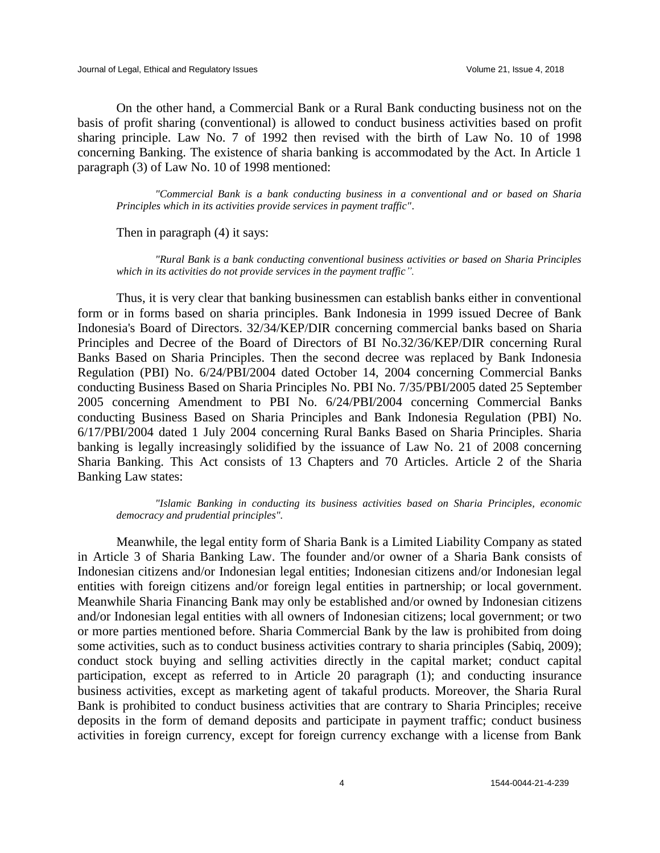On the other hand, a Commercial Bank or a Rural Bank conducting business not on the basis of profit sharing (conventional) is allowed to conduct business activities based on profit sharing principle. Law No. 7 of 1992 then revised with the birth of Law No. 10 of 1998 concerning Banking. The existence of sharia banking is accommodated by the Act. In Article 1 paragraph (3) of Law No. 10 of 1998 mentioned:

*"Commercial Bank is a bank conducting business in a conventional and or based on Sharia Principles which in its activities provide services in payment traffic"*.

Then in paragraph (4) it says:

*"Rural Bank is a bank conducting conventional business activities or based on Sharia Principles which in its activities do not provide services in the payment traffic".*

Thus, it is very clear that banking businessmen can establish banks either in conventional form or in forms based on sharia principles. Bank Indonesia in 1999 issued Decree of Bank Indonesia's Board of Directors. 32/34/KEP/DIR concerning commercial banks based on Sharia Principles and Decree of the Board of Directors of BI No.32/36/KEP/DIR concerning Rural Banks Based on Sharia Principles. Then the second decree was replaced by Bank Indonesia Regulation (PBI) No. 6/24/PBI/2004 dated October 14, 2004 concerning Commercial Banks conducting Business Based on Sharia Principles No. PBI No. 7/35/PBI/2005 dated 25 September 2005 concerning Amendment to PBI No. 6/24/PBI/2004 concerning Commercial Banks conducting Business Based on Sharia Principles and Bank Indonesia Regulation (PBI) No. 6/17/PBI/2004 dated 1 July 2004 concerning Rural Banks Based on Sharia Principles. Sharia banking is legally increasingly solidified by the issuance of Law No. 21 of 2008 concerning Sharia Banking. This Act consists of 13 Chapters and 70 Articles. Article 2 of the Sharia Banking Law states:

*"Islamic Banking in conducting its business activities based on Sharia Principles, economic democracy and prudential principles".*

Meanwhile, the legal entity form of Sharia Bank is a Limited Liability Company as stated in Article 3 of Sharia Banking Law. The founder and/or owner of a Sharia Bank consists of Indonesian citizens and/or Indonesian legal entities; Indonesian citizens and/or Indonesian legal entities with foreign citizens and/or foreign legal entities in partnership; or local government. Meanwhile Sharia Financing Bank may only be established and/or owned by Indonesian citizens and/or Indonesian legal entities with all owners of Indonesian citizens; local government; or two or more parties mentioned before. Sharia Commercial Bank by the law is prohibited from doing some activities, such as to conduct business activities contrary to sharia principles (Sabiq, 2009); conduct stock buying and selling activities directly in the capital market; conduct capital participation, except as referred to in Article 20 paragraph (1); and conducting insurance business activities, except as marketing agent of takaful products. Moreover, the Sharia Rural Bank is prohibited to conduct business activities that are contrary to Sharia Principles; receive deposits in the form of demand deposits and participate in payment traffic; conduct business activities in foreign currency, except for foreign currency exchange with a license from Bank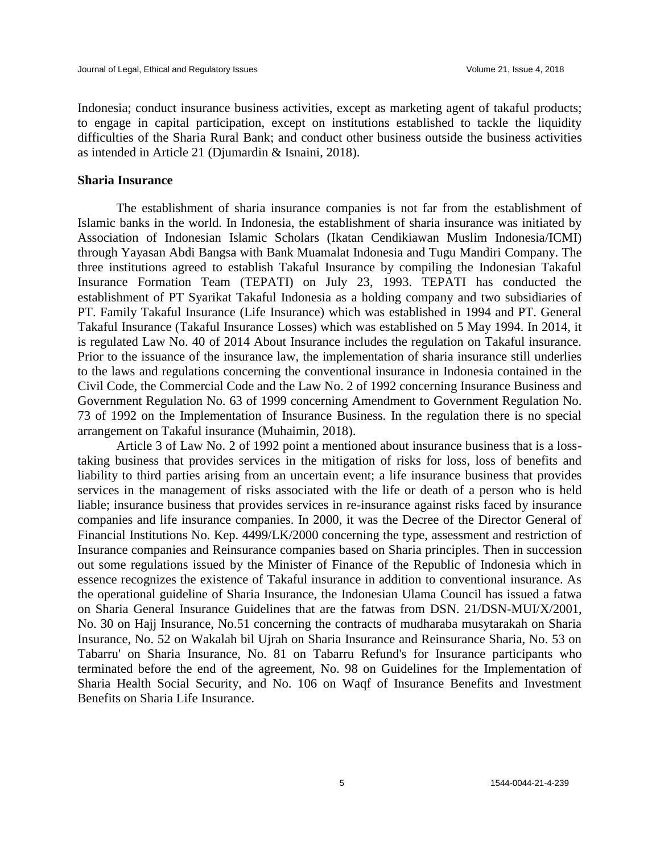Indonesia; conduct insurance business activities, except as marketing agent of takaful products; to engage in capital participation, except on institutions established to tackle the liquidity difficulties of the Sharia Rural Bank; and conduct other business outside the business activities as intended in Article 21 (Djumardin & Isnaini, 2018).

### **Sharia Insurance**

The establishment of sharia insurance companies is not far from the establishment of Islamic banks in the world. In Indonesia, the establishment of sharia insurance was initiated by Association of Indonesian Islamic Scholars (Ikatan Cendikiawan Muslim Indonesia/ICMI) through Yayasan Abdi Bangsa with Bank Muamalat Indonesia and Tugu Mandiri Company. The three institutions agreed to establish Takaful Insurance by compiling the Indonesian Takaful Insurance Formation Team (TEPATI) on July 23, 1993. TEPATI has conducted the establishment of PT Syarikat Takaful Indonesia as a holding company and two subsidiaries of PT. Family Takaful Insurance (Life Insurance) which was established in 1994 and PT. General Takaful Insurance (Takaful Insurance Losses) which was established on 5 May 1994. In 2014, it is regulated Law No. 40 of 2014 About Insurance includes the regulation on Takaful insurance. Prior to the issuance of the insurance law, the implementation of sharia insurance still underlies to the laws and regulations concerning the conventional insurance in Indonesia contained in the Civil Code, the Commercial Code and the Law No. 2 of 1992 concerning Insurance Business and Government Regulation No. 63 of 1999 concerning Amendment to Government Regulation No. 73 of 1992 on the Implementation of Insurance Business. In the regulation there is no special arrangement on Takaful insurance (Muhaimin, 2018).

Article 3 of Law No. 2 of 1992 point a mentioned about insurance business that is a losstaking business that provides services in the mitigation of risks for loss, loss of benefits and liability to third parties arising from an uncertain event; a life insurance business that provides services in the management of risks associated with the life or death of a person who is held liable; insurance business that provides services in re-insurance against risks faced by insurance companies and life insurance companies. In 2000, it was the Decree of the Director General of Financial Institutions No. Kep. 4499/LK/2000 concerning the type, assessment and restriction of Insurance companies and Reinsurance companies based on Sharia principles. Then in succession out some regulations issued by the Minister of Finance of the Republic of Indonesia which in essence recognizes the existence of Takaful insurance in addition to conventional insurance. As the operational guideline of Sharia Insurance, the Indonesian Ulama Council has issued a fatwa on Sharia General Insurance Guidelines that are the fatwas from DSN. 21/DSN-MUI/X/2001, No. 30 on Hajj Insurance, No.51 concerning the contracts of mudharaba musytarakah on Sharia Insurance, No. 52 on Wakalah bil Ujrah on Sharia Insurance and Reinsurance Sharia, No. 53 on Tabarru' on Sharia Insurance, No. 81 on Tabarru Refund's for Insurance participants who terminated before the end of the agreement, No. 98 on Guidelines for the Implementation of Sharia Health Social Security, and No. 106 on Waqf of Insurance Benefits and Investment Benefits on Sharia Life Insurance.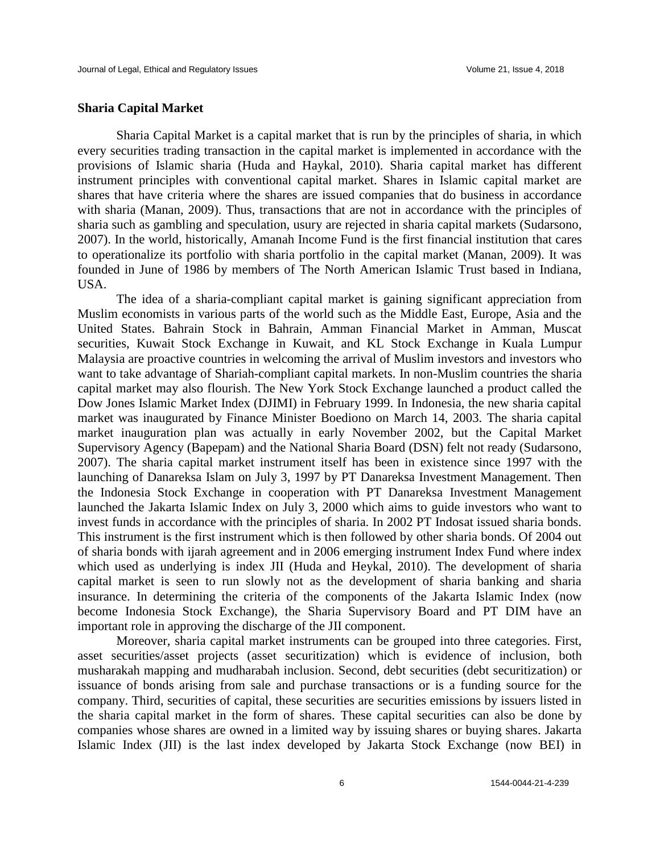#### **Sharia Capital Market**

Sharia Capital Market is a capital market that is run by the principles of sharia, in which every securities trading transaction in the capital market is implemented in accordance with the provisions of Islamic sharia (Huda and Haykal, 2010). Sharia capital market has different instrument principles with conventional capital market. Shares in Islamic capital market are shares that have criteria where the shares are issued companies that do business in accordance with sharia (Manan, 2009). Thus, transactions that are not in accordance with the principles of sharia such as gambling and speculation, usury are rejected in sharia capital markets (Sudarsono, 2007). In the world, historically, Amanah Income Fund is the first financial institution that cares to operationalize its portfolio with sharia portfolio in the capital market (Manan, 2009). It was founded in June of 1986 by members of The North American Islamic Trust based in Indiana, USA.

The idea of a sharia-compliant capital market is gaining significant appreciation from Muslim economists in various parts of the world such as the Middle East, Europe, Asia and the United States. Bahrain Stock in Bahrain, Amman Financial Market in Amman, Muscat securities, Kuwait Stock Exchange in Kuwait, and KL Stock Exchange in Kuala Lumpur Malaysia are proactive countries in welcoming the arrival of Muslim investors and investors who want to take advantage of Shariah-compliant capital markets. In non-Muslim countries the sharia capital market may also flourish. The New York Stock Exchange launched a product called the Dow Jones Islamic Market Index (DJIMI) in February 1999. In Indonesia, the new sharia capital market was inaugurated by Finance Minister Boediono on March 14, 2003. The sharia capital market inauguration plan was actually in early November 2002, but the Capital Market Supervisory Agency (Bapepam) and the National Sharia Board (DSN) felt not ready (Sudarsono, 2007). The sharia capital market instrument itself has been in existence since 1997 with the launching of Danareksa Islam on July 3, 1997 by PT Danareksa Investment Management. Then the Indonesia Stock Exchange in cooperation with PT Danareksa Investment Management launched the Jakarta Islamic Index on July 3, 2000 which aims to guide investors who want to invest funds in accordance with the principles of sharia. In 2002 PT Indosat issued sharia bonds. This instrument is the first instrument which is then followed by other sharia bonds. Of 2004 out of sharia bonds with ijarah agreement and in 2006 emerging instrument Index Fund where index which used as underlying is index JII (Huda and Heykal, 2010). The development of sharia capital market is seen to run slowly not as the development of sharia banking and sharia insurance. In determining the criteria of the components of the Jakarta Islamic Index (now become Indonesia Stock Exchange), the Sharia Supervisory Board and PT DIM have an important role in approving the discharge of the JII component.

Moreover, sharia capital market instruments can be grouped into three categories. First, asset securities/asset projects (asset securitization) which is evidence of inclusion, both musharakah mapping and mudharabah inclusion. Second, debt securities (debt securitization) or issuance of bonds arising from sale and purchase transactions or is a funding source for the company. Third, securities of capital, these securities are securities emissions by issuers listed in the sharia capital market in the form of shares. These capital securities can also be done by companies whose shares are owned in a limited way by issuing shares or buying shares. Jakarta Islamic Index (JII) is the last index developed by Jakarta Stock Exchange (now BEI) in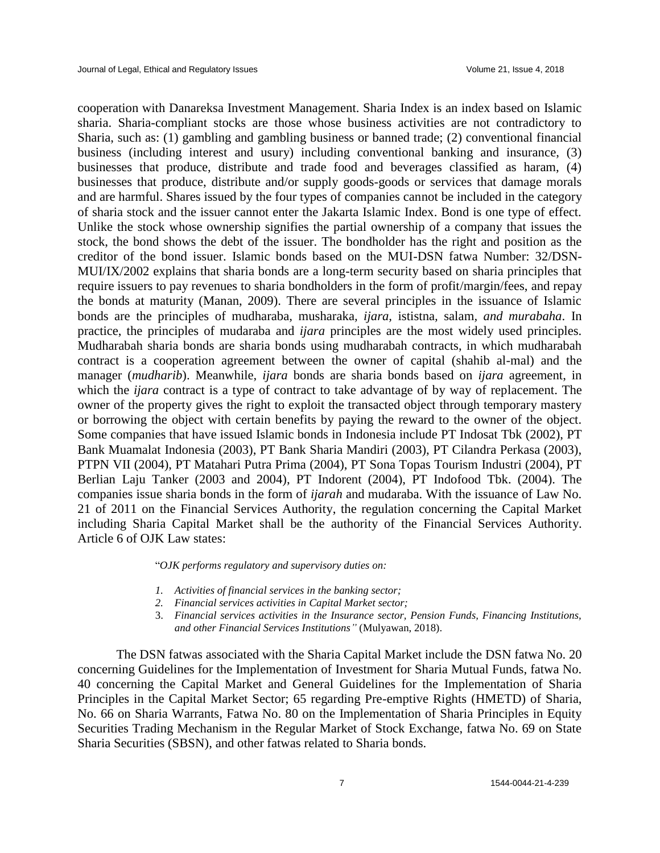cooperation with Danareksa Investment Management. Sharia Index is an index based on Islamic sharia. Sharia-compliant stocks are those whose business activities are not contradictory to Sharia, such as: (1) gambling and gambling business or banned trade; (2) conventional financial business (including interest and usury) including conventional banking and insurance, (3) businesses that produce, distribute and trade food and beverages classified as haram, (4) businesses that produce, distribute and/or supply goods-goods or services that damage morals and are harmful. Shares issued by the four types of companies cannot be included in the category of sharia stock and the issuer cannot enter the Jakarta Islamic Index. Bond is one type of effect. Unlike the stock whose ownership signifies the partial ownership of a company that issues the stock, the bond shows the debt of the issuer. The bondholder has the right and position as the creditor of the bond issuer. Islamic bonds based on the MUI-DSN fatwa Number: 32/DSN-MUI/IX/2002 explains that sharia bonds are a long-term security based on sharia principles that require issuers to pay revenues to sharia bondholders in the form of profit/margin/fees, and repay the bonds at maturity (Manan, 2009). There are several principles in the issuance of Islamic bonds are the principles of mudharaba*,* musharaka*, ijara,* ististna*,* salam*, and murabaha*. In practice, the principles of mudaraba and *ijara* principles are the most widely used principles. Mudharabah sharia bonds are sharia bonds using mudharabah contracts, in which mudharabah contract is a cooperation agreement between the owner of capital (shahib al-mal) and the manager (*mudharib*). Meanwhile, *ijara* bonds are sharia bonds based on *ijara* agreement, in which the *ijara* contract is a type of contract to take advantage of by way of replacement. The owner of the property gives the right to exploit the transacted object through temporary mastery or borrowing the object with certain benefits by paying the reward to the owner of the object. Some companies that have issued Islamic bonds in Indonesia include PT Indosat Tbk (2002), PT Bank Muamalat Indonesia (2003), PT Bank Sharia Mandiri (2003), PT Cilandra Perkasa (2003), PTPN VII (2004), PT Matahari Putra Prima (2004), PT Sona Topas Tourism Industri (2004), PT Berlian Laju Tanker (2003 and 2004), PT Indorent (2004), PT Indofood Tbk. (2004). The companies issue sharia bonds in the form of *ijarah* and mudaraba. With the issuance of Law No. 21 of 2011 on the Financial Services Authority, the regulation concerning the Capital Market including Sharia Capital Market shall be the authority of the Financial Services Authority. Article 6 of OJK Law states:

"*OJK performs regulatory and supervisory duties on:* 

- *1. Activities of financial services in the banking sector;*
- *2. Financial services activities in Capital Market sector;*
- 3. *Financial services activities in the Insurance sector, Pension Funds, Financing Institutions, and other Financial Services Institutions"* (Mulyawan, 2018).

The DSN fatwas associated with the Sharia Capital Market include the DSN fatwa No. 20 concerning Guidelines for the Implementation of Investment for Sharia Mutual Funds, fatwa No. 40 concerning the Capital Market and General Guidelines for the Implementation of Sharia Principles in the Capital Market Sector; 65 regarding Pre-emptive Rights (HMETD) of Sharia, No. 66 on Sharia Warrants, Fatwa No. 80 on the Implementation of Sharia Principles in Equity Securities Trading Mechanism in the Regular Market of Stock Exchange, fatwa No. 69 on State Sharia Securities (SBSN), and other fatwas related to Sharia bonds.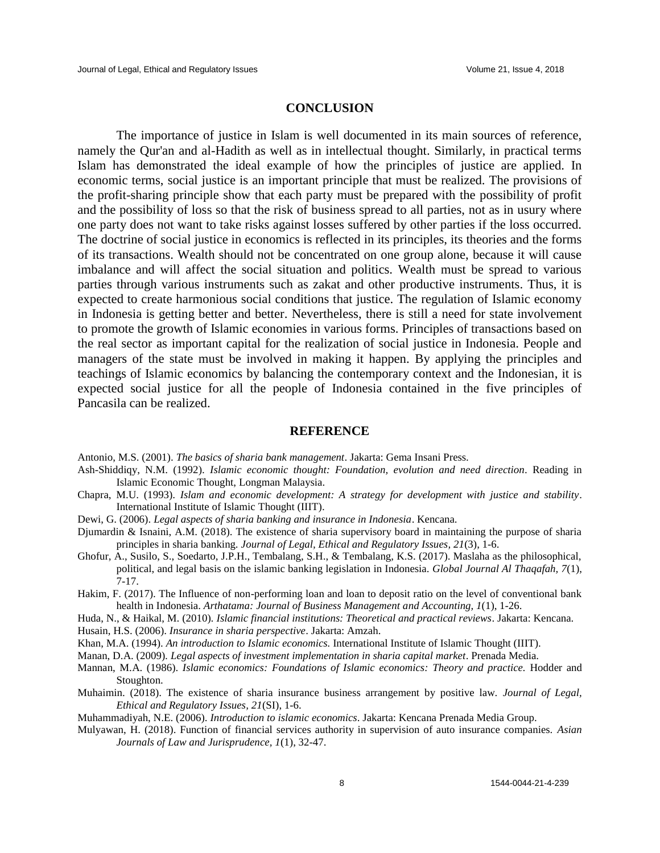#### **CONCLUSION**

The importance of justice in Islam is well documented in its main sources of reference, namely the Qur'an and al-Hadith as well as in intellectual thought. Similarly, in practical terms Islam has demonstrated the ideal example of how the principles of justice are applied. In economic terms, social justice is an important principle that must be realized. The provisions of the profit-sharing principle show that each party must be prepared with the possibility of profit and the possibility of loss so that the risk of business spread to all parties, not as in usury where one party does not want to take risks against losses suffered by other parties if the loss occurred. The doctrine of social justice in economics is reflected in its principles, its theories and the forms of its transactions. Wealth should not be concentrated on one group alone, because it will cause imbalance and will affect the social situation and politics. Wealth must be spread to various parties through various instruments such as zakat and other productive instruments. Thus, it is expected to create harmonious social conditions that justice. The regulation of Islamic economy in Indonesia is getting better and better. Nevertheless, there is still a need for state involvement to promote the growth of Islamic economies in various forms. Principles of transactions based on the real sector as important capital for the realization of social justice in Indonesia. People and managers of the state must be involved in making it happen. By applying the principles and teachings of Islamic economics by balancing the contemporary context and the Indonesian, it is expected social justice for all the people of Indonesia contained in the five principles of Pancasila can be realized.

#### **REFERENCE**

- Antonio, M.S. (2001). *The basics of sharia bank management*. Jakarta: Gema Insani Press.
- Ash-Shiddiqy, N.M. (1992). *Islamic economic thought: Foundation, evolution and need direction*. Reading in Islamic Economic Thought, Longman Malaysia.
- Chapra, M.U. (1993). *Islam and economic development: A strategy for development with justice and stability*. International Institute of Islamic Thought (IIIT).
- Dewi, G. (2006). *Legal aspects of sharia banking and insurance in Indonesia*. Kencana.
- Djumardin & Isnaini, A.M. (2018). The existence of sharia supervisory board in maintaining the purpose of sharia principles in sharia banking. *Journal of Legal, Ethical and Regulatory Issues, 21*(3), 1-6.
- Ghofur, A., Susilo, S., Soedarto, J.P.H., Tembalang, S.H., & Tembalang, K.S. (2017). Maslaha as the philosophical, political, and legal basis on the islamic banking legislation in Indonesia. *Global Journal Al Thaqafah, 7*(1), 7-17.
- Hakim, F. (2017). The Influence of non-performing loan and loan to deposit ratio on the level of conventional bank health in Indonesia. *Arthatama: Journal of Business Management and Accounting, 1*(1), 1-26.
- Huda, N., & Haikal, M. (2010)*. Islamic financial institutions: Theoretical and practical reviews*. Jakarta: Kencana.
- Husain, H.S. (2006). *Insurance in sharia perspective*. Jakarta: Amzah.
- Khan, M.A. (1994). *An introduction to Islamic economics.* International Institute of Islamic Thought (IIIT).
- Manan, D.A. (2009)*. Legal aspects of investment implementation in sharia capital market*. Prenada Media.
- Mannan, M.A. (1986). *Islamic economics: Foundations of Islamic economics: Theory and practice.* Hodder and Stoughton.
- Muhaimin. (2018). The existence of sharia insurance business arrangement by positive law. *Journal of Legal, Ethical and Regulatory Issues, 21*(SI), 1-6.

Muhammadiyah, N.E. (2006). *Introduction to islamic economics*. Jakarta: Kencana Prenada Media Group.

Mulyawan, H. (2018). Function of financial services authority in supervision of auto insurance companies. *Asian Journals of Law and Jurisprudence, 1*(1), 32-47.